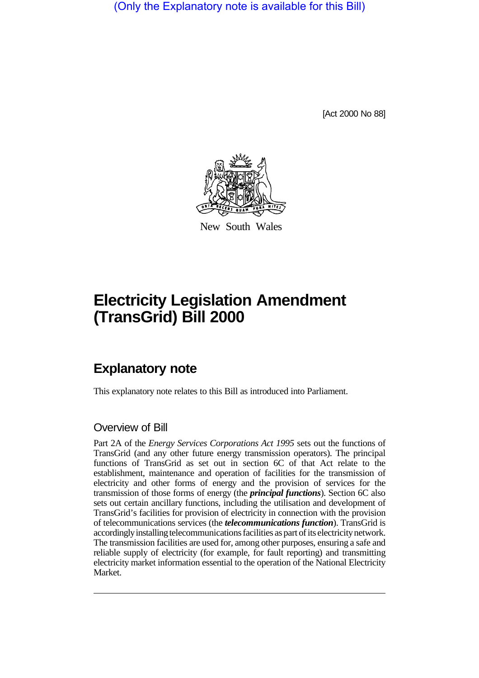(Only the Explanatory note is available for this Bill)

[Act 2000 No 88]



New South Wales

# **Electricity Legislation Amendment (TransGrid) Bill 2000**

# **Explanatory note**

This explanatory note relates to this Bill as introduced into Parliament.

### Overview of Bill

Part 2A of the *Energy Services Corporations Act 1995* sets out the functions of TransGrid (and any other future energy transmission operators). The principal functions of TransGrid as set out in section 6C of that Act relate to the establishment, maintenance and operation of facilities for the transmission of electricity and other forms of energy and the provision of services for the transmission of those forms of energy (the *principal functions*). Section 6C also sets out certain ancillary functions, including the utilisation and development of TransGrid's facilities for provision of electricity in connection with the provision of telecommunications services (the *telecommunications function*). TransGrid is accordingly installing telecommunications facilities as part of its electricity network. The transmission facilities are used for, among other purposes, ensuring a safe and reliable supply of electricity (for example, for fault reporting) and transmitting electricity market information essential to the operation of the National Electricity Market.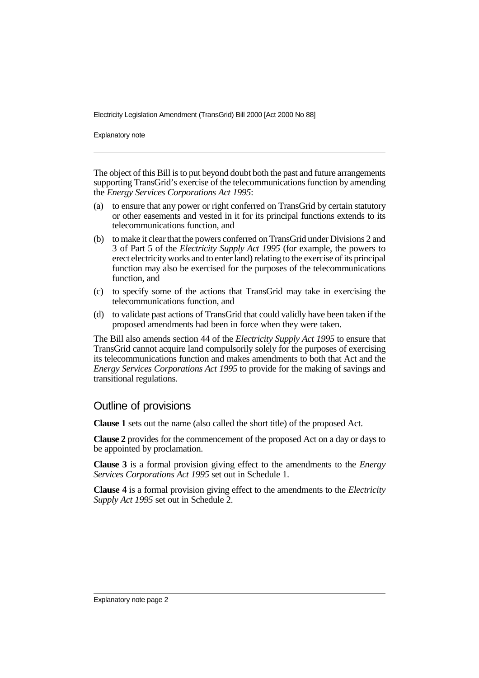Electricity Legislation Amendment (TransGrid) Bill 2000 [Act 2000 No 88]

Explanatory note

The object of this Bill is to put beyond doubt both the past and future arrangements supporting TransGrid's exercise of the telecommunications function by amending the *Energy Services Corporations Act 1995*:

- (a) to ensure that any power or right conferred on TransGrid by certain statutory or other easements and vested in it for its principal functions extends to its telecommunications function, and
- (b) to make it clear that the powers conferred on TransGrid under Divisions 2 and 3 of Part 5 of the *Electricity Supply Act 1995* (for example, the powers to erect electricity works and to enter land) relating to the exercise of its principal function may also be exercised for the purposes of the telecommunications function, and
- (c) to specify some of the actions that TransGrid may take in exercising the telecommunications function, and
- (d) to validate past actions of TransGrid that could validly have been taken if the proposed amendments had been in force when they were taken.

The Bill also amends section 44 of the *Electricity Supply Act 1995* to ensure that TransGrid cannot acquire land compulsorily solely for the purposes of exercising its telecommunications function and makes amendments to both that Act and the *Energy Services Corporations Act 1995* to provide for the making of savings and transitional regulations.

#### Outline of provisions

**Clause 1** sets out the name (also called the short title) of the proposed Act.

**Clause 2** provides for the commencement of the proposed Act on a day or days to be appointed by proclamation.

**Clause 3** is a formal provision giving effect to the amendments to the *Energy Services Corporations Act 1995* set out in Schedule 1.

**Clause 4** is a formal provision giving effect to the amendments to the *Electricity Supply Act 1995* set out in Schedule 2.